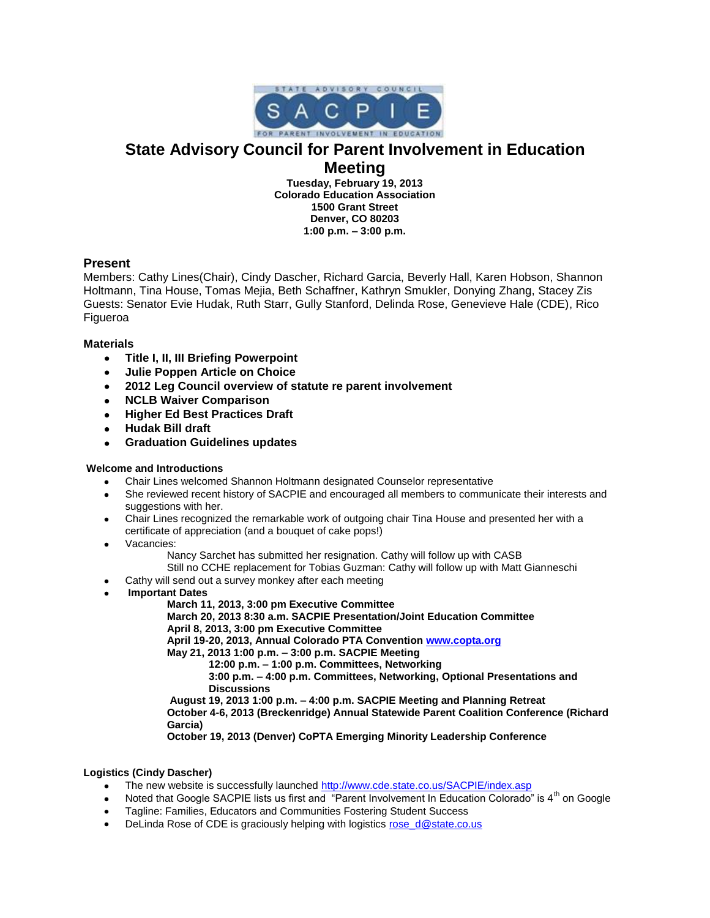

# **State Advisory Council for Parent Involvement in Education**

# **Meeting**

**Tuesday, February 19, 2013 Colorado Education Association 1500 Grant Street Denver, CO 80203 1:00 p.m. – 3:00 p.m.**

# **Present**

Members: Cathy Lines(Chair), Cindy Dascher, Richard Garcia, Beverly Hall, Karen Hobson, Shannon Holtmann, Tina House, Tomas Mejia, Beth Schaffner, Kathryn Smukler, Donying Zhang, Stacey Zis Guests: Senator Evie Hudak, Ruth Starr, Gully Stanford, Delinda Rose, Genevieve Hale (CDE), Rico Figueroa

## **Materials**

- **Title I, II, III Briefing Powerpoint**  $\bullet$
- **Julie Poppen Article on Choice**  $\bullet$
- **2012 Leg Council overview of statute re parent involvement**  $\bullet$
- $\bullet$ **NCLB Waiver Comparison**
- **Higher Ed Best Practices Draft**  $\bullet$
- **Hudak Bill draft**  $\bullet$
- $\bullet$ **Graduation Guidelines updates**

## **Welcome and Introductions**

- Chair Lines welcomed Shannon Holtmann designated Counselor representative
- She reviewed recent history of SACPIE and encouraged all members to communicate their interests and suggestions with her.
- Chair Lines recognized the remarkable work of outgoing chair Tina House and presented her with a certificate of appreciation (and a bouquet of cake pops!)
- Vacancies:  $\bullet$ 
	- Nancy Sarchet has submitted her resignation. Cathy will follow up with CASB Still no CCHE replacement for Tobias Guzman: Cathy will follow up with Matt Gianneschi
- 
- Cathy will send out a survey monkey after each meeting
- **Important Dates**

#### **March 11, 2013, 3:00 pm Executive Committee**

**March 20, 2013 8:30 a.m. SACPIE Presentation/Joint Education Committee April 8, 2013, 3:00 pm Executive Committee**

**April 19-20, 2013, Annual Colorado PTA Conventio[n www.copta.org](http://www.copta.org/)**

**May 21, 2013 1:00 p.m. – 3:00 p.m. SACPIE Meeting**

**12:00 p.m. – 1:00 p.m. Committees, Networking**

**3:00 p.m. – 4:00 p.m. Committees, Networking, Optional Presentations and Discussions**

**August 19, 2013 1:00 p.m. – 4:00 p.m. SACPIE Meeting and Planning Retreat October 4-6, 2013 (Breckenridge) Annual Statewide Parent Coalition Conference (Richard Garcia)**

**October 19, 2013 (Denver) CoPTA Emerging Minority Leadership Conference**

## **Logistics (Cindy Dascher)**

- The new website is successfully launched<http://www.cde.state.co.us/SACPIE/index.asp>
- Noted that Google SACPIE lists us first and "Parent Involvement In Education Colorado" is 4<sup>th</sup> on Google
- Tagline: Families, Educators and Communities Fostering Student Success
- DeLinda Rose of CDE is graciously helping with logistics [rose\\_d@state.co.us](mailto:rose_d@state.co.us)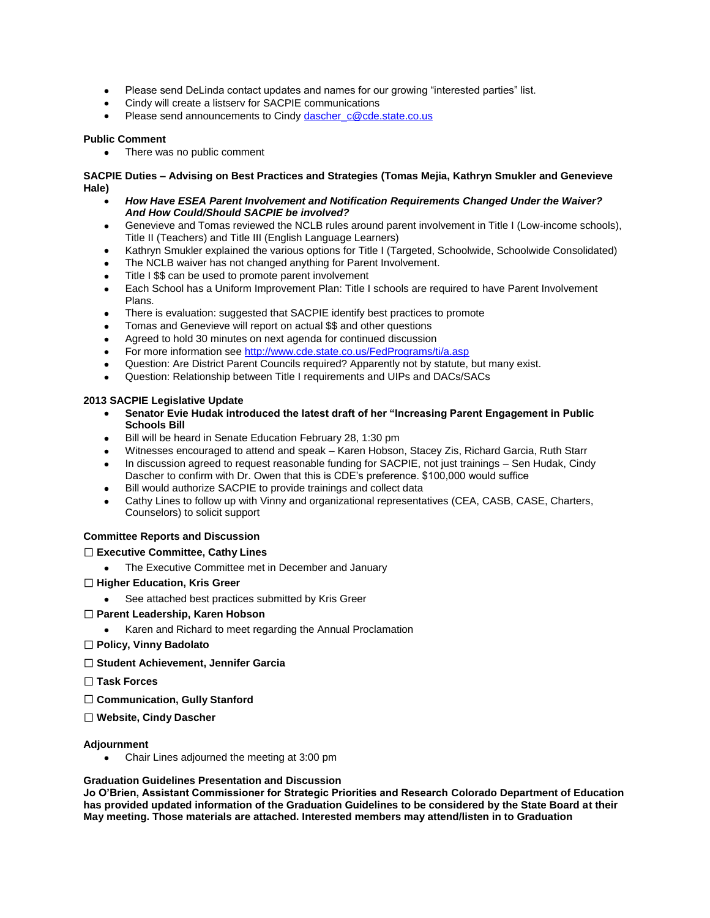- Please send DeLinda contact updates and names for our growing "interested parties" list.  $\bullet$
- Cindy will create a listserv for SACPIE communications
- Please send announcements to Cindy [dascher\\_c@cde.state.co.us](mailto:dascher_c@cde.state.co.us)

#### **Public Comment**

There was no public comment

**SACPIE Duties – Advising on Best Practices and Strategies (Tomas Mejia, Kathryn Smukler and Genevieve Hale)**

- *How Have ESEA Parent Involvement and Notification Requirements Changed Under the Waiver? And How Could/Should SACPIE be involved?*
- Genevieve and Tomas reviewed the NCLB rules around parent involvement in Title I (Low-income schools),  $\bullet$ Title II (Teachers) and Title III (English Language Learners)
- Kathryn Smukler explained the various options for Title I (Targeted, Schoolwide, Schoolwide Consolidated)
- The NCLB waiver has not changed anything for Parent Involvement.
- Title I \$\$ can be used to promote parent involvement
- Each School has a Uniform Improvement Plan: Title I schools are required to have Parent Involvement  $\bullet$ Plans.
- There is evaluation: suggested that SACPIE identify best practices to promote  $\bullet$
- Tomas and Genevieve will report on actual \$\$ and other questions
- Agreed to hold 30 minutes on next agenda for continued discussion
- For more information see<http://www.cde.state.co.us/FedPrograms/ti/a.asp>
- Question: Are District Parent Councils required? Apparently not by statute, but many exist.
- Question: Relationship between Title I requirements and UIPs and DACs/SACs

#### **2013 SACPIE Legislative Update**

- **Senator Evie Hudak introduced the latest draft of her "Increasing Parent Engagement in Public Schools Bill**
- Bill will be heard in Senate Education February 28, 1:30 pm  $\bullet$
- Witnesses encouraged to attend and speak Karen Hobson, Stacey Zis, Richard Garcia, Ruth Starr
- In discussion agreed to request reasonable funding for SACPIE, not just trainings Sen Hudak, Cindy Dascher to confirm with Dr. Owen that this is CDE's preference. \$100,000 would suffice
- Bill would authorize SACPIE to provide trainings and collect data  $\bullet$
- Cathy Lines to follow up with Vinny and organizational representatives (CEA, CASB, CASE, Charters, Counselors) to solicit support

## **Committee Reports and Discussion**

#### **Executive Committee, Cathy Lines**

The Executive Committee met in December and January

#### **Higher Education, Kris Greer**

- See attached best practices submitted by Kris Greer
- **Parent Leadership, Karen Hobson**
	- Karen and Richard to meet regarding the Annual Proclamation
- **Policy, Vinny Badolato**
- **Student Achievement, Jennifer Garcia**
- **Task Forces**
- **Communication, Gully Stanford**
- **Website, Cindy Dascher**

#### **Adjournment**

Chair Lines adjourned the meeting at 3:00 pm

#### **Graduation Guidelines Presentation and Discussion**

**Jo O'Brien, Assistant Commissioner for Strategic Priorities and Research Colorado Department of Education has provided updated information of the Graduation Guidelines to be considered by the State Board at their May meeting. Those materials are attached. Interested members may attend/listen in to Graduation**